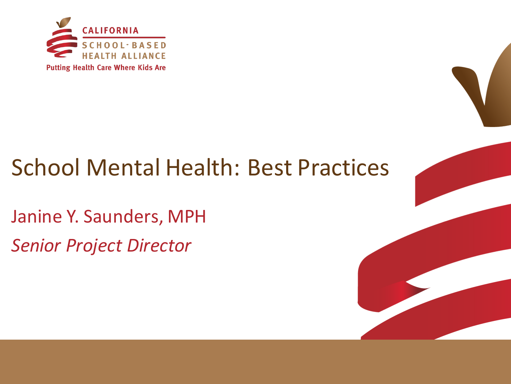

## **School Mental Health: Best Practices**

Janine Y. Saunders, MPH *Senior Project Director*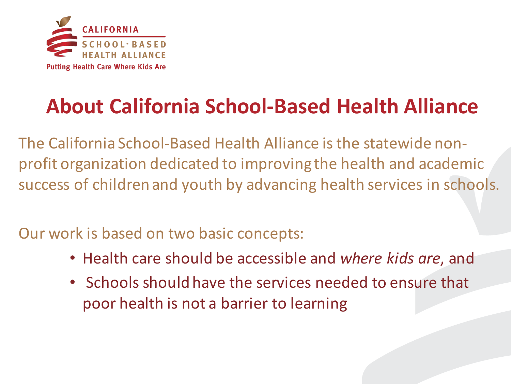

### **About California School-Based Health Alliance**

The California School-Based Health Alliance is the statewide nonprofit organization dedicated to improving the health and academic success of children and youth by advancing health services in schools.

Our work is based on two basic concepts:

- Health care should be accessible and *where kids are*, and
- Schools should have the services needed to ensure that poor health is not a barrier to learning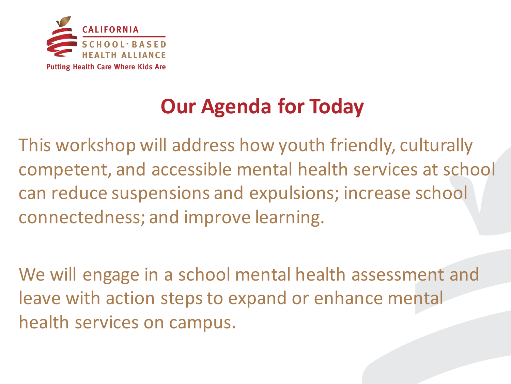

## **Our Agenda for Today**

This workshop will address how youth friendly, culturally competent, and accessible mental health services at school can reduce suspensions and expulsions; increase school connectedness; and improve learning.

We will engage in a school mental health assessment and leave with action steps to expand or enhance mental health services on campus.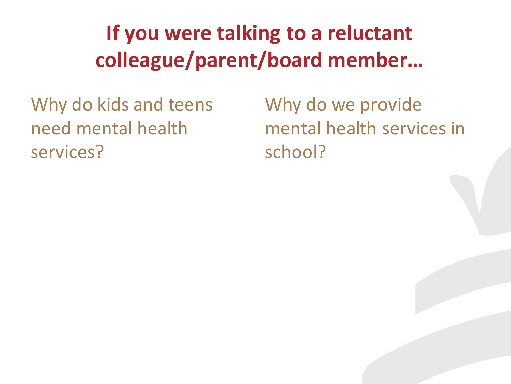## **If you were talking to a reluctant colleague/parent/board member…**

Why do kids and teens need mental health services?

Why do we provide mental health services in school?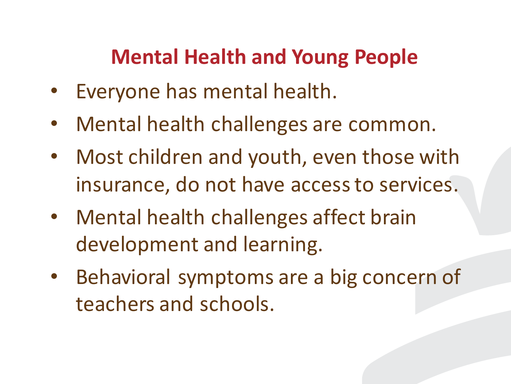### **Mental Health and Young People**

- Everyone has mental health.
- Mental health challenges are common.
- Most children and youth, even those with insurance, do not have access to services.
- Mental health challenges affect brain development and learning.
- Behavioral symptoms are a big concern of teachers and schools.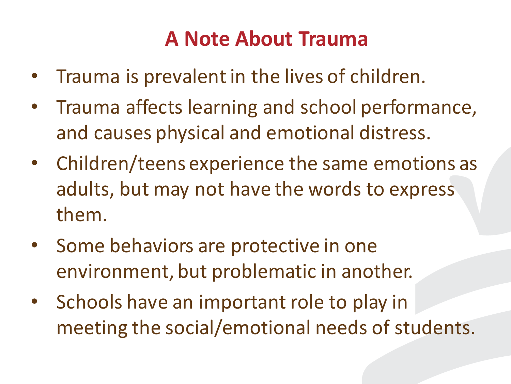#### **A Note About Trauma**

- Trauma is prevalent in the lives of children.
- Trauma affects learning and school performance, and causes physical and emotional distress.
- Children/teens experience the same emotions as adults, but may not have the words to express them.
- Some behaviors are protective in one environment, but problematic in another.
- Schools have an important role to play in meeting the social/emotional needs of students.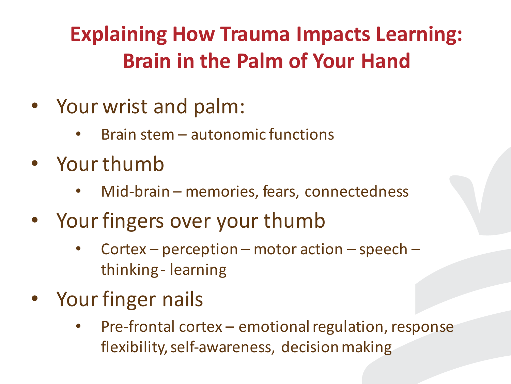## **Explaining How Trauma Impacts Learning: Brain in the Palm of Your Hand**

- Your wrist and palm:
	- Brain stem  $-$  autonomic functions
- Your thumb
	- Mid-brain memories, fears, connectedness
- Your fingers over your thumb
	- Cortex perception motor action speech thinking - learning
- Your finger nails
	- Pre-frontal cortex emotional regulation, response flexibility, self-awareness, decision making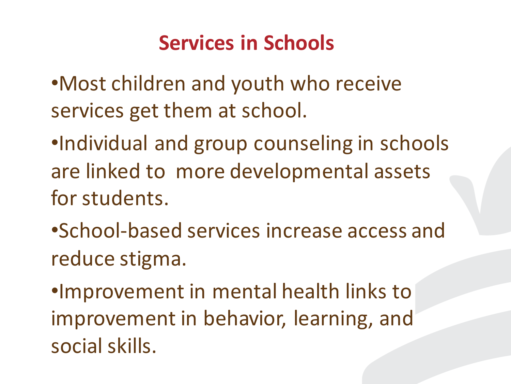### **Services in Schools**

- •Most children and youth who receive services get them at school.
- •Individual and group counseling in schools are linked to more developmental assets for students.
- •School-based services increase access and reduce stigma.

•Improvement in mental health links to improvement in behavior, learning, and social skills.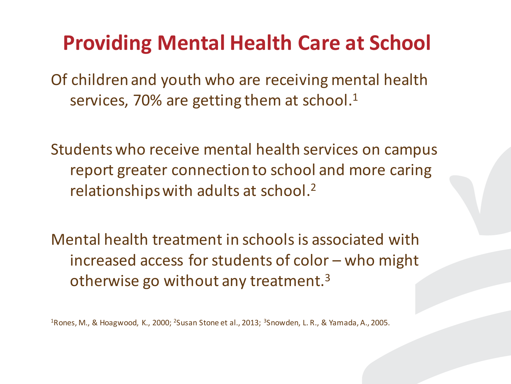#### **Providing Mental Health Care at School**

Of children and youth who are receiving mental health services, 70% are getting them at school.<sup>1</sup>

Students who receive mental health services on campus report greater connection to school and more caring relationships with adults at school.<sup>2</sup>

Mental health treatment in schools is associated with increased access for students of color – who might otherwise go without any treatment. $3$ 

<sup>1</sup> Rones, M., & Hoagwood, K., 2000; <sup>2</sup> Susan Stone et al., 2013; <sup>3</sup> Snowden, L. R., & Yamada, A., 2005.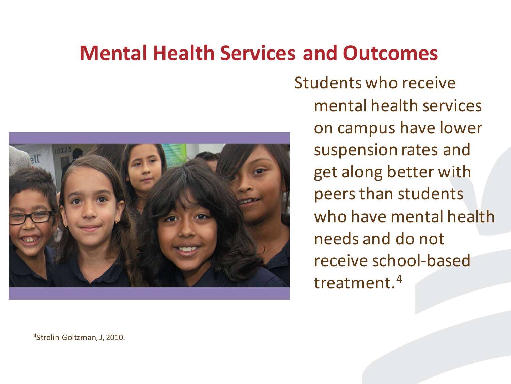#### **Mental Health Services and Outcomes**



Students who receive mental health services on campus have lower suspension rates and get along better with peers than students who have mental health needs and do not receive school-based treatment.4

<sup>4</sup>Strolin-Goltzman, J, 2010.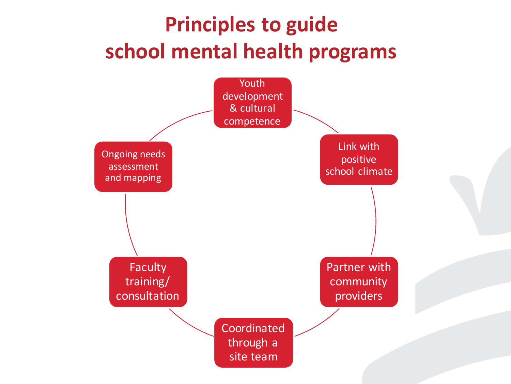## **Principles to guide** school mental health programs

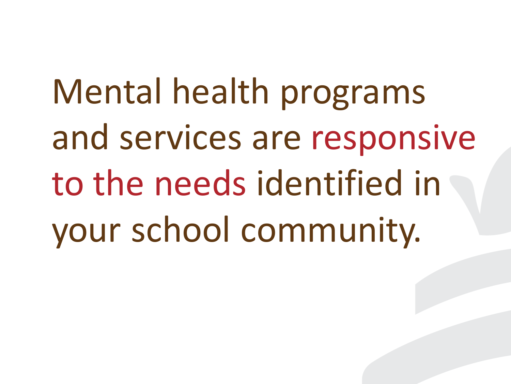Mental health programs and services are responsive to the needs identified in your school community.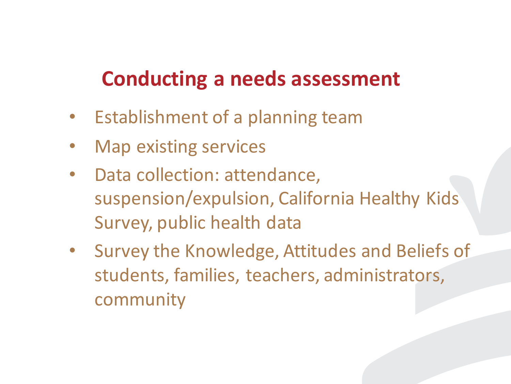#### **Conducting a needs assessment**

- Establishment of a planning team
- Map existing services
- Data collection: attendance, suspension/expulsion, California Healthy Kids Survey, public health data
- Survey the Knowledge, Attitudes and Beliefs of students, families, teachers, administrators, community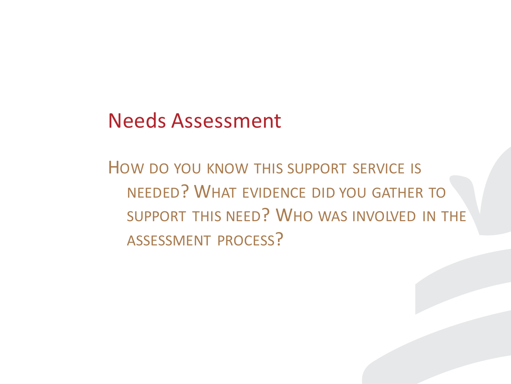#### Needs Assessment

HOW DO YOU KNOW THIS SUPPORT SERVICE IS NEEDED? WHAT EVIDENCE DID YOU GATHER TO SUPPORT THIS NEED? WHO WAS INVOLVED IN THE ASSESSMENT PROCESS?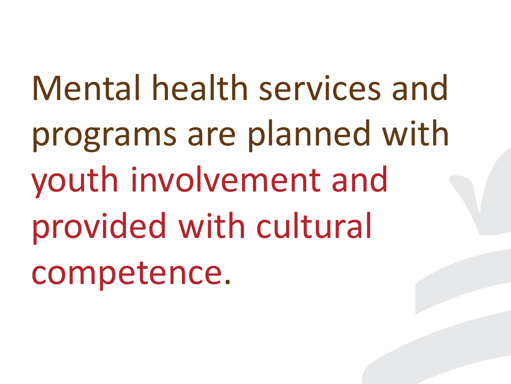Mental health services and programs are planned with youth involvement and provided with cultural competence.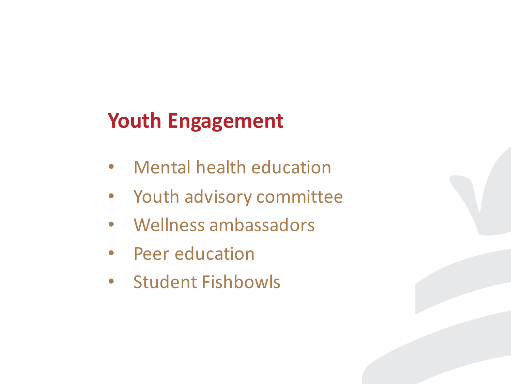## Youth Engagement

- Mental health education
- Youth advisory committee
- Wellness ambassadors
- Peer education
- Student Fishbowls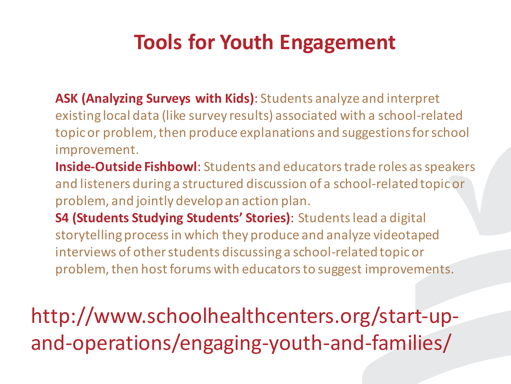#### **Tools for Youth Engagement**

- ASK (Analyzing Surveys with Kids): Students analyze and interpret existing local data (like survey results) associated with a school-related topic or problem, then produce explanations and suggestions for school improvement.
- **Inside-Outside Fishbowl**: Students and educators trade roles as speakers and listeners during a structured discussion of a school-related topic or problem, and jointly develop an action plan.
- **S4 (Students Studying Students' Stories)**: Students lead a digital storytelling process in which they produce and analyze videotaped interviews of other students discussing a school-related topic or problem, then host forums with educators to suggest improvements.

http://www.schoolhealthcenters.org/start-upand-operations/engaging-youth-and-families/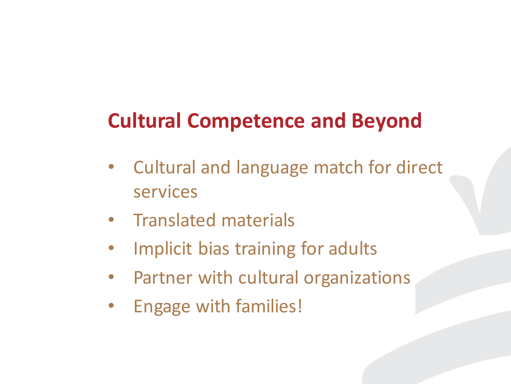## **Cultural Competence and Beyond**

- Cultural and language match for direct services
- Translated materials
- Implicit bias training for adults
- Partner with cultural organizations
- Engage with families!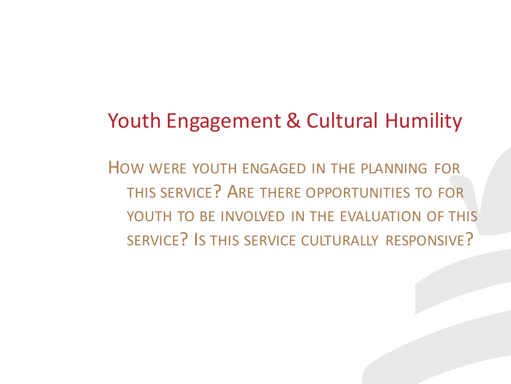#### Youth Engagement & Cultural Humility

HOW WERE YOUTH ENGAGED IN THE PLANNING FOR THIS SERVICE? ARE THERE OPPORTUNITIES TO FOR YOUTH TO BE INVOLVED IN THE EVALUATION OF THIS SERVICE? IS THIS SERVICE CULTURALLY RESPONSIVE?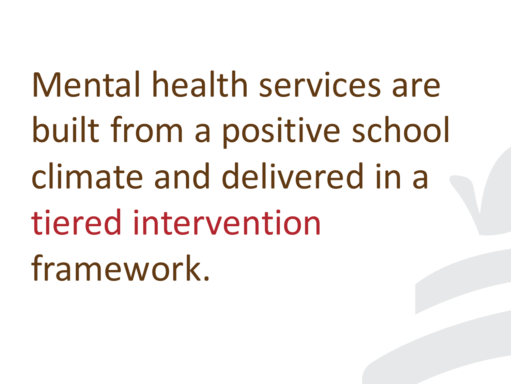Mental health services are built from a positive school climate and delivered in a tiered intervention framework.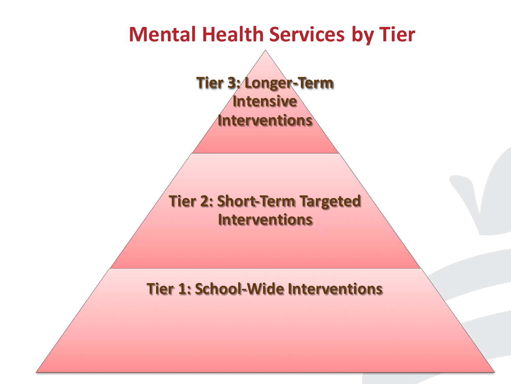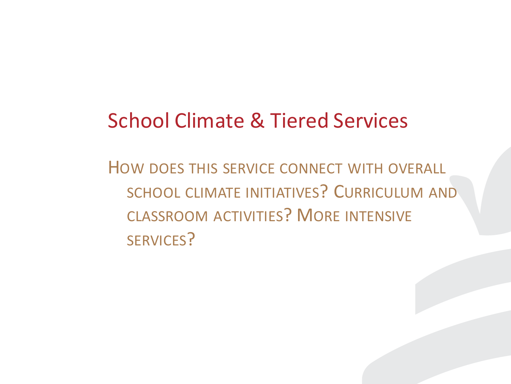#### **School Climate & Tiered Services**

HOW DOES THIS SERVICE CONNECT WITH OVERALL SCHOOL CLIMATE INITIATIVES? CURRICULUM AND CLASSROOM ACTIVITIES? MORE INTENSIVE SERVICES?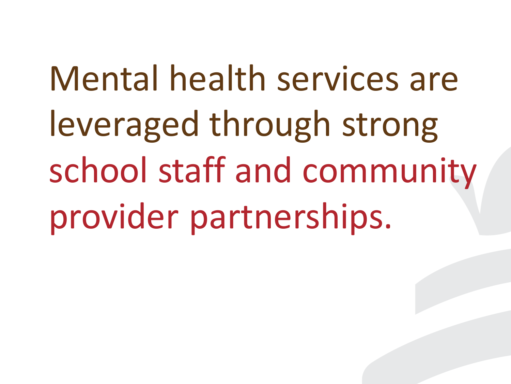Mental health services are leveraged through strong school staff and community provider partnerships.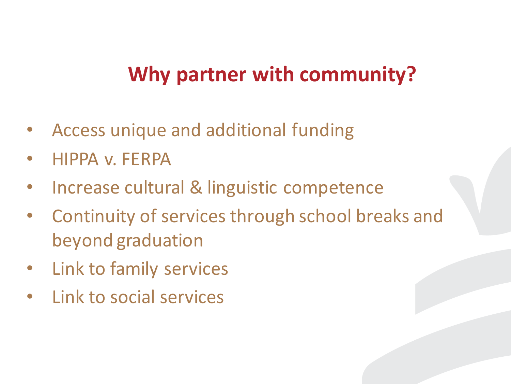#### **Why partner with community?**

- Access unique and additional funding
- HIPPA v. FERPA
- Increase cultural & linguistic competence
- Continuity of services through school breaks and beyond graduation
- Link to family services
- Link to social services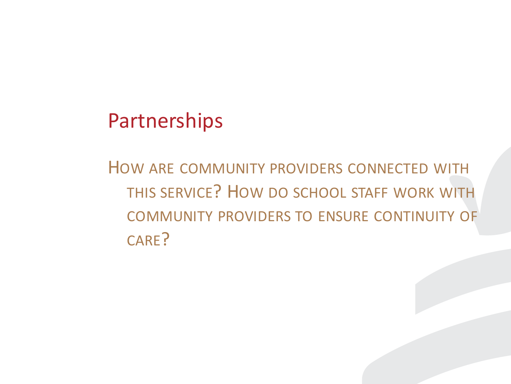#### Partnerships

HOW ARE COMMUNITY PROVIDERS CONNECTED WITH THIS SERVICE? HOW DO SCHOOL STAFF WORK WITH COMMUNITY PROVIDERS TO ENSURE CONTINUITY OF CARE?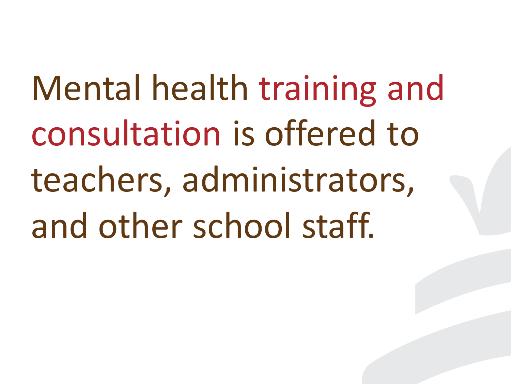Mental health training and consultation is offered to teachers, administrators, and other school staff.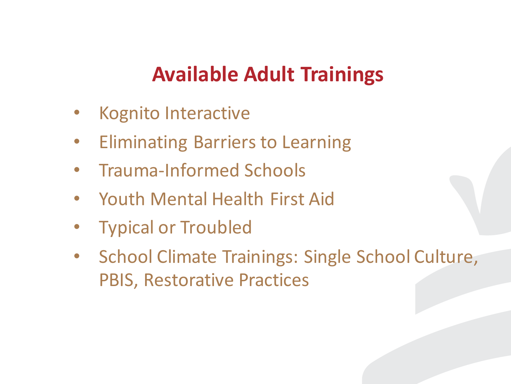#### **Available Adult Trainings**

- Kognito Interactive
- **Eliminating Barriers to Learning**
- Trauma-Informed Schools
- Youth Mental Health First Aid
- **Typical or Troubled**
- School Climate Trainings: Single School Culture, **PBIS, Restorative Practices**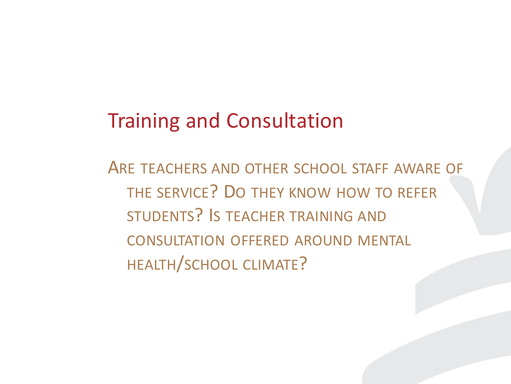#### **Training and Consultation**

ARE TEACHERS AND OTHER SCHOOL STAFF AWARE OF THE SERVICE? DO THEY KNOW HOW TO REFER STUDENTS? IS TEACHER TRAINING AND CONSULTATION OFFERED AROUND MENTAL HEALTH/SCHOOL CLIMATE?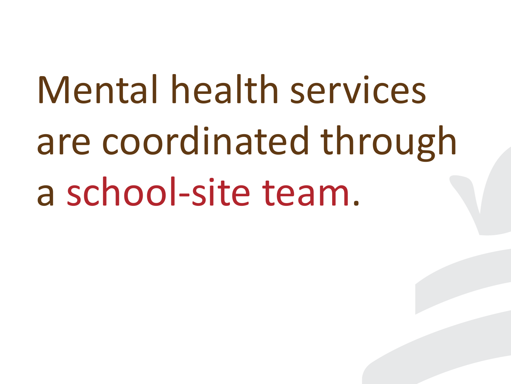Mental health services are coordinated through a school-site team.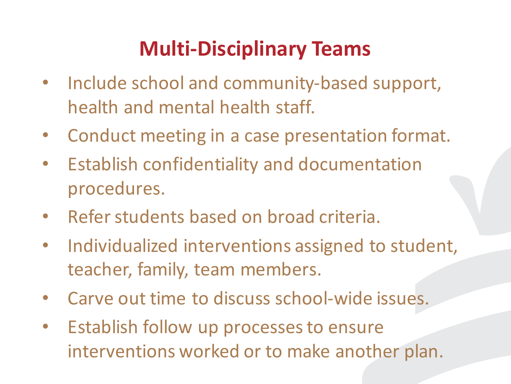## **Multi-Disciplinary Teams**

- Include school and community-based support, health and mental health staff.
- Conduct meeting in a case presentation format.
- Establish confidentiality and documentation procedures.
- Refer students based on broad criteria.
- Individualized interventions assigned to student, teacher, family, team members.
- Carve out time to discuss school-wide issues.
- Establish follow up processes to ensure interventions worked or to make another plan.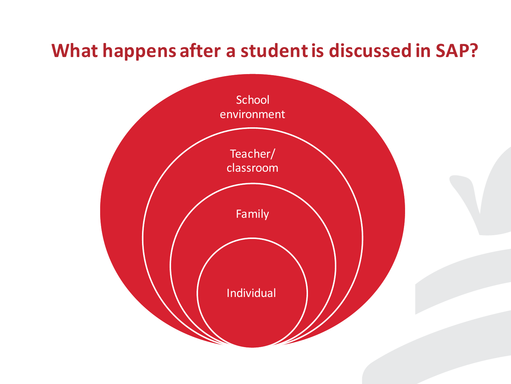#### **What happens after a student is discussed in SAP?**

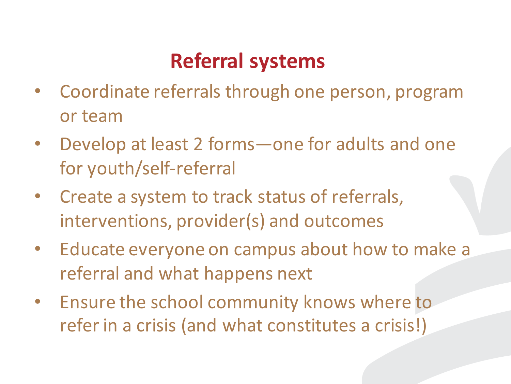## **Referral systems**

- Coordinate referrals through one person, program or team
- Develop at least 2 forms one for adults and one for youth/self-referral
- Create a system to track status of referrals, interventions, provider(s) and outcomes
- Educate everyone on campus about how to make a referral and what happens next
- Ensure the school community knows where to refer in a crisis (and what constitutes a crisis!)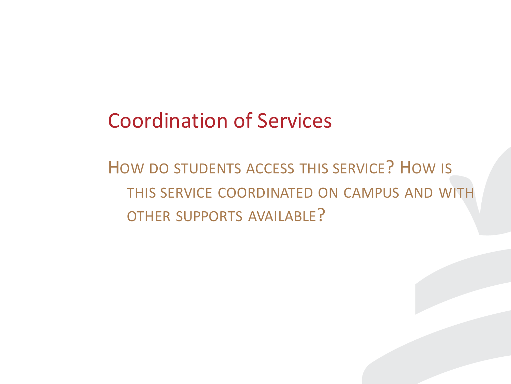#### **Coordination of Services**

HOW DO STUDENTS ACCESS THIS SERVICE? HOW IS THIS SERVICE COORDINATED ON CAMPUS AND WITH OTHER SUPPORTS AVAILABLE?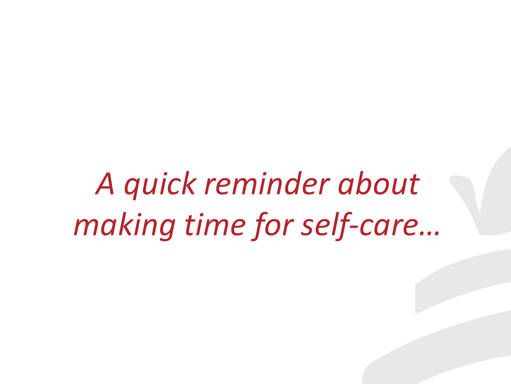*A quick reminder about making time for self-care…*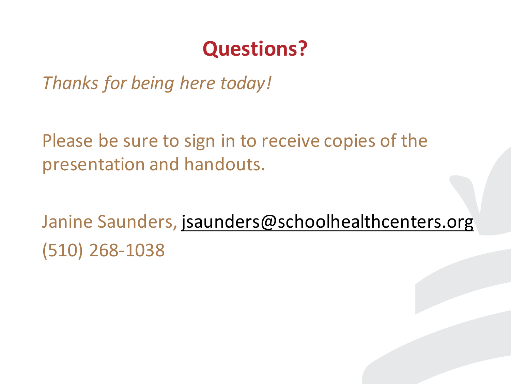#### **Questions?**

*Thanks for being here today!*

Please be sure to sign in to receive copies of the presentation and handouts.

Janine Saunders, jsaunders@schoolhealthcenters.org (510) 268-1038